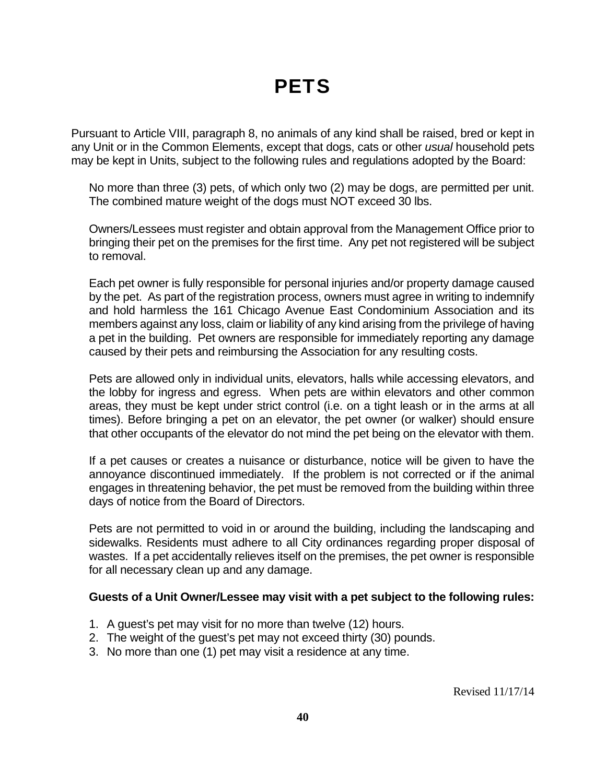## **PETS**

Pursuant to Article VIII, paragraph 8, no animals of any kind shall be raised, bred or kept in any Unit or in the Common Elements, except that dogs, cats or other *usual* household pets may be kept in Units, subject to the following rules and regulations adopted by the Board:

 No more than three (3) pets, of which only two (2) may be dogs, are permitted per unit. The combined mature weight of the dogs must NOT exceed 30 lbs.

Owners/Lessees must register and obtain approval from the Management Office prior to bringing their pet on the premises for the first time. Any pet not registered will be subject to removal.

Each pet owner is fully responsible for personal injuries and/or property damage caused by the pet. As part of the registration process, owners must agree in writing to indemnify and hold harmless the 161 Chicago Avenue East Condominium Association and its members against any loss, claim or liability of any kind arising from the privilege of having a pet in the building. Pet owners are responsible for immediately reporting any damage caused by their pets and reimbursing the Association for any resulting costs.

Pets are allowed only in individual units, elevators, halls while accessing elevators, and the lobby for ingress and egress. When pets are within elevators and other common areas, they must be kept under strict control (i.e. on a tight leash or in the arms at all times). Before bringing a pet on an elevator, the pet owner (or walker) should ensure that other occupants of the elevator do not mind the pet being on the elevator with them.

If a pet causes or creates a nuisance or disturbance, notice will be given to have the annoyance discontinued immediately. If the problem is not corrected or if the animal engages in threatening behavior, the pet must be removed from the building within three days of notice from the Board of Directors.

Pets are not permitted to void in or around the building, including the landscaping and sidewalks. Residents must adhere to all City ordinances regarding proper disposal of wastes. If a pet accidentally relieves itself on the premises, the pet owner is responsible for all necessary clean up and any damage.

## **Guests of a Unit Owner/Lessee may visit with a pet subject to the following rules:**

- 1. A guest's pet may visit for no more than twelve (12) hours.
- 2. The weight of the guest's pet may not exceed thirty (30) pounds.
- 3. No more than one (1) pet may visit a residence at any time.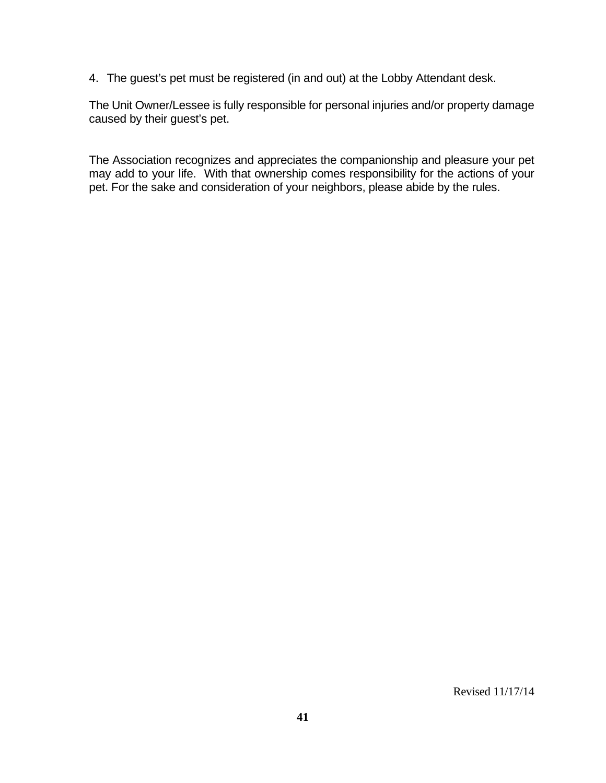4. The guest's pet must be registered (in and out) at the Lobby Attendant desk.

The Unit Owner/Lessee is fully responsible for personal injuries and/or property damage caused by their guest's pet.

The Association recognizes and appreciates the companionship and pleasure your pet may add to your life. With that ownership comes responsibility for the actions of your pet. For the sake and consideration of your neighbors, please abide by the rules.

Revised 11/17/14